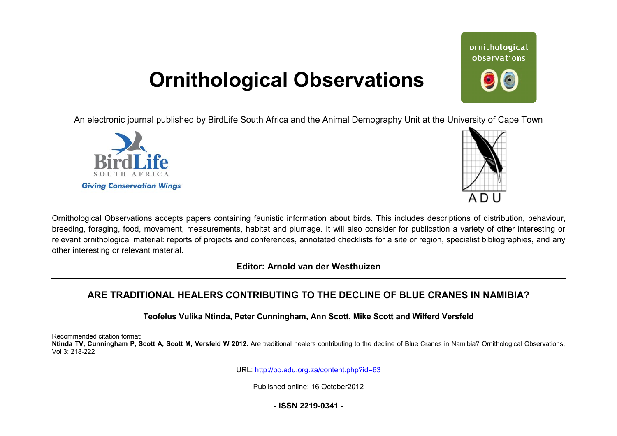# **Ornithological Observations**

An electronic journal published by BirdLife South Africa and the Animal Demography Unit at the University of Cape Town





ornithological observations

Ornithological Observations accepts papers containing faunistic information about birds. This includes descriptions of distribution, behaviour, breeding, foraging, food, movement, measurements, habitat and plumage. It will also consider for publication a variety of other interesting or relevant ornithological material: reports of projects and conferences, annotated checklists for a site or region, specialist bibliographies, and any other interesting or relevant material.

**Editor: Arnold van der Westhuizen**

## **ARE TRADITIONAL HEALERS CONTRIBUTING TO THE DEC TRIBUTINGDECLINE OF BLUE CRANES IN NAMIBIA?**

**Teofelus Vulika Ntinda, Peter Cunningham, Ann Scott, Mike Scott and Wilferd Versfeld** 

Recommended citation format:

Ntinda TV, Cunningham P, Scott A, Scott M, Versfeld W 2012. Are traditional healers contributing to the decline of Blue Cranes in Namibia? Ornithological Observations, Vol 3: 218-222

URL: <http://oo.adu.org.za/content.php?id=63>

Published online: 16 October2012

**- ISSN 2219-0341 -**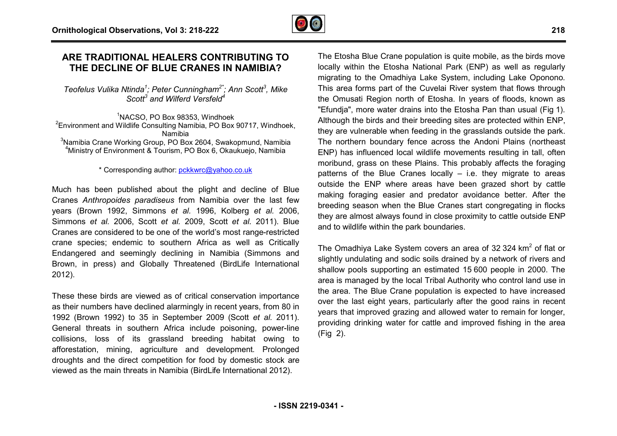

### **ARE TRADITIONAL HEALERS CONTRIBUTING TO THE DECLINE OF BLUE CRANES IN NAMIBIA?**

*Teofelus Vulika Ntinda<sup>1</sup> ; Peter Cunningham2\*; Ann Scott 3 , Mike Scott<sup>3</sup> and Wilferd Versfeld<sup>4</sup>*

<sup>1</sup>NACSO, PO Box 98353, Windhoek <sup>2</sup> Environment and Wildlife Consulting Namibia, PO Box 90717, Windhoek, Namibia  $3$ Namibia Crane Working Group, PO Box 2604, Swakopmund, Namibia <sup>4</sup>Ministry of Environment & Tourism, PO Box 6, Okaukuejo, Namibia , PO Box 90717, Windhoe<br>)4, Swakopmund, Namibia<br>x 6, Okaukuejo, Namibia

#### \* Corresponding author: [pckkwrc@yahoo.co.uk](mailto:pckkwrc@yahoo.co.uk)

Much has been published about the plight and decline of Blue Cranes *Anthropoides paradiseus* from Namibia over the last few years (Brown 1992, Simmons *et al.* 1996, Kolberg *et al.* 2006, Simmons *et al.* 2006, Scott *et al.* 2009, Scott *et al.* 2011). Blue Cranes are considered to be one of the world's most range-restricted crane species; endemic to southern Africa as well as Critically Endangered and seemingly declining in Namibia (Simmons and Brown, in press) and Globally Threatened (BirdLife International 2012).

These these birds are viewed as of critical conservation importance as their numbers have declined alarmingly in recent years, from 80 in 1992 (Brown 1992) to 35 in September 2009 (Scott *et al.* 2011). General threats in southern Africa include poisoning, power-line collisions, loss of its grassland breeding habitat owing to afforestation, mining, agriculture and development development. Prolonged droughts and the direct competition for food by domestic stock are viewed as the main threats in Namibia (BirdLife International 2012). life International<br>ation importance<br>years, from 80 in

The Etosha Blue Crane population is quite mobile, as the birds move locally within the Etosha National Park (ENP) as well as regularly migrating to the Omadhiya Lake System, including Lake Oponono Oponono. This area forms part of the Cuvelai River system that flows through the Omusati Region north of Etosha. In years of floods, known as "Efundja", more water drains into the Etosha Pan than usual (Fig 1). Although the birds and their breeding sites are protected within ENP, they are vulnerable when feeding in the grasslands outside the park. The northern boundary fence across the Andoni Plains (northeast ENP) has influenced local wildlife movements resulting in tall, often moribund, grass on these Plains. This probably affects the foraging patterns of the Blue Cranes locally – i.e. they migrate to areas outside the ENP where areas have been grazed short by cattle making foraging easier and predator avoidance better. After the breeding season when the Blue Cranes start congregating in flocks they are almost always found in close proximity to cattle outside ENP and to wildlife within the park boundaries. hey are vulnerable when feeding in the grasslands outside<br>he northern boundary fence across the Andoni Plains (<br>NP) has influenced local wildlife movements resulting in<br>oribund, grass on these Plains. This probably affect

The Omadhiya Lake System covers an area of 32 324 km<sup>2</sup> of flat or slightly undulating and sodic soils drained by a network of rivers and shallow pools supporting an estimated 15 600 people in 2000. The area is managed by the local Tribal Authority who control land use in the area. The Blue Crane population is expected to have increased over the last eight years, particularly after the good rains in recent over the last eight years, particularly after the good rains in recent<br>years that improved grazing and allowed water to remain for longer, providing drinking water for cattle and improved fishing in the area (Fig 2).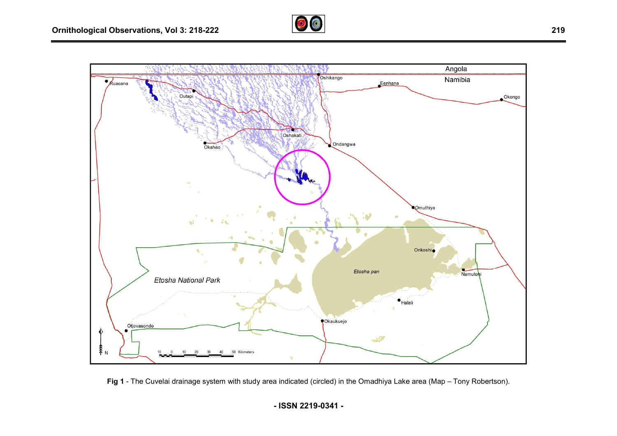



Fig 1 - The Cuvelai drainage system with study area indicated (circled) in the Omadhiya Lake area (Map – Tony Robertson).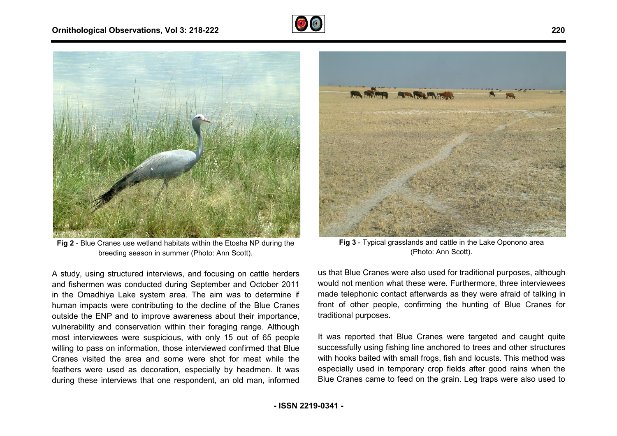



**Fig 2** - Blue Cranes use wetland habitats within the Etosha NP during the Cranes use wetland habitats within the Etosha N<br>breeding season in summer (Photo: Ann Scott).

A study, using structured interviews, and focusing on cattle herders and fishermen was conducted during September and October 2011 in the Omadhiya Lake system area. The aim was to determine if human impacts were contributing to the decline of the Blue Cranes outside the ENP and to improve awareness about their importance, vulnerability and conservation within their foraging range. Although most interviewees were suspicious, with only 15 out of 65 people willing to pass on information, those interviewed confirmed that Blue Cranes visited the area and some were shot for meat while the feathers were used as decoration, especially by headmen. It was during these interviews that one respondent, an old man, informed



(Photo: Ann Scott). Fig 3 - Typical grasslands and cattle in the Lake Oponono area

hand NP during the<br>
off).<br>
In cattle herders<br>
us that Blue Cranes were also used for traditional<br>
do October 2011<br>
would not mention what these were. Furthermore<br>
to determine if<br>
made telephonic contact afterwards as they us that Blue Cranes were also used for traditional purposes, although would not mention what these were. Furthermore, three interviewees made telephonic contact afterwards as they were afraid of talking in front of other people, confirming the hunting of Blue Cranes for traditional purposes. n what these were. Furthermore, three interviewees<br>contact afterwards as they were afraid of talking in<br>eople, confirming the hunting of Blue Cranes for<br>es.<br>that Blue Cranes were targeted and caught quite

It was reported that Blue Cranes were targeted and caught quite successfully using fishing line anchored to trees and other structures with hooks baited with small frogs, fish and locusts. This method was especially used in temporary crop fields after good rains when the Blue Cranes came to feed on the grain. Leg traps were also used to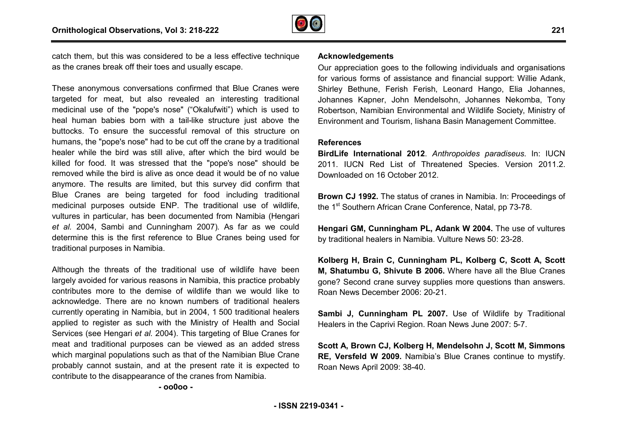

catch them, but this was considered to be a less effective technique as the cranes break off their toes and usually escape.

These anonymous conversations confirmed that Blue Cranes were targeted for meat, but also revealed an interesting traditional medicinal use of the "pope's nose" ("Okalufwiti") which is used to heal human babies born with a tail-like structure just above the buttocks. To ensure the successful removal of this structure on heal human babies born with a tail-like structure just above the<br>buttocks. To ensure the successful removal of this structure on<br>humans, the "pope's nose" had to be cut off the crane by a traditional healer while the bird was still alive, after which the bird would be killed for food. It was stressed that the "pope's nose" should be removed while the bird is alive as once dead it would be of no value anymore. The results are limited, but this survey did confirm that Blue Cranes are being targeted for food including traditional medicinal purposes outside ENP. The traditional use of wildlife, vultures in particular, has been documented from Namibia (Hengari *et al.* 2004, Sambi and Cunningham 2007). As far as we could determine this is the first reference to Blue Cranes being used for traditional purposes in Namibia. is was considered to be a less effective technique<br>
Koff their toes and usually escape.<br>
Our appreciation goes<br>
to various forms of is<br>
the the "pope's nose" ("Okalufwiti") which is used to Robertson, Ramibian<br>
the "pope's

Although the threats of the traditional use of wildlife have been largely avoided for various reasons in Namibia, this practice probably contributes more to the demise of wildlife than we would like to acknowledge. There are no known numbers of traditional healers currently operating in Namibia, but in 2004, 1 500 traditional healers applied to register as such with the Ministry of Health and Social Services (see Hengari *et al.* 2004). This targeting of Blue Cranes for meat and traditional purposes can be viewed as an added stress which marginal populations such as that of the Namibian Blue Crane probably cannot sustain, and at the present rate it is expected to contribute to the disappearance of the cranes from Namibia.

**- oo0oo -** 

Our appreciation goes to the following individuals and organisations for various forms of assistance and financial support: Willie Adank, Shirley Bethune, Ferish Ferish, Leonard Hango, Elia Johannes, Johannes Kapner, John Mendelsohn, Johannes Nekomba, Tony Robertson, Namibian Environmental and Wildlife Society Society, Ministry of Environment and Tourism, Iishana Basin Management Committee.

#### **References**

**BirdLife International 2012**. *Anthropoides paradiseus* . In: IUCN 2011. IUCN Red List of Threatened Species. Version 2011.2. Downloaded on 16 October 2012.

**Brown CJ 1992.** The status of cranes in Namibia. In: Proceedings of the 1<sup>st</sup> Southern African Crane Conference, Natal, pp 73-78.

**Hengari GM, Cunningham PL, Adank W 2004.**  The use of vultures by traditional healers in Namibia. Vulture News 50: 23 23-28.

**Kolberg H, Brain C, Cunningham PL, Kolberg C, Scott A, Scott unninghamM, Shatumbu G, Shivute B 2006.** Where have all the Blue Cranes gone? Second crane survey supplies more questions than answers. Roan News December 2006: 20-21.

**Sambi J, Cunningham PL 2007.** Use of Wildlife by Traditional Healers in the Caprivi Region. Roan News June 2007: 5 5-7.

**Scott A, Brown CJ, Kolberg H, Mendelsohn J, Scott M, Simmons nRE, Versfeld W 2009.** Namibia's Blue Cranes continue to mystify. Roan News April 2009: 38-40.